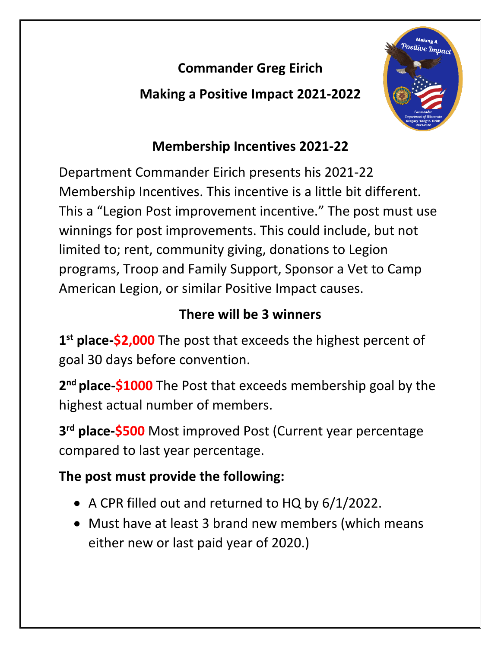## **Commander Greg Eirich**

**Making a Positive Impact 2021-2022**



# **Membership Incentives 2021-22**

Department Commander Eirich presents his 2021-22 Membership Incentives. This incentive is a little bit different. This a "Legion Post improvement incentive." The post must use winnings for post improvements. This could include, but not limited to; rent, community giving, donations to Legion programs, Troop and Family Support, Sponsor a Vet to Camp American Legion, or similar Positive Impact causes.

## **There will be 3 winners**

**1st place-\$2,000** The post that exceeds the highest percent of goal 30 days before convention.

**2nd place-\$1000** The Post that exceeds membership goal by the highest actual number of members.

**3rd place-\$500** Most improved Post (Current year percentage compared to last year percentage.

## **The post must provide the following:**

- A CPR filled out and returned to HQ by 6/1/2022.
- Must have at least 3 brand new members (which means either new or last paid year of 2020.)